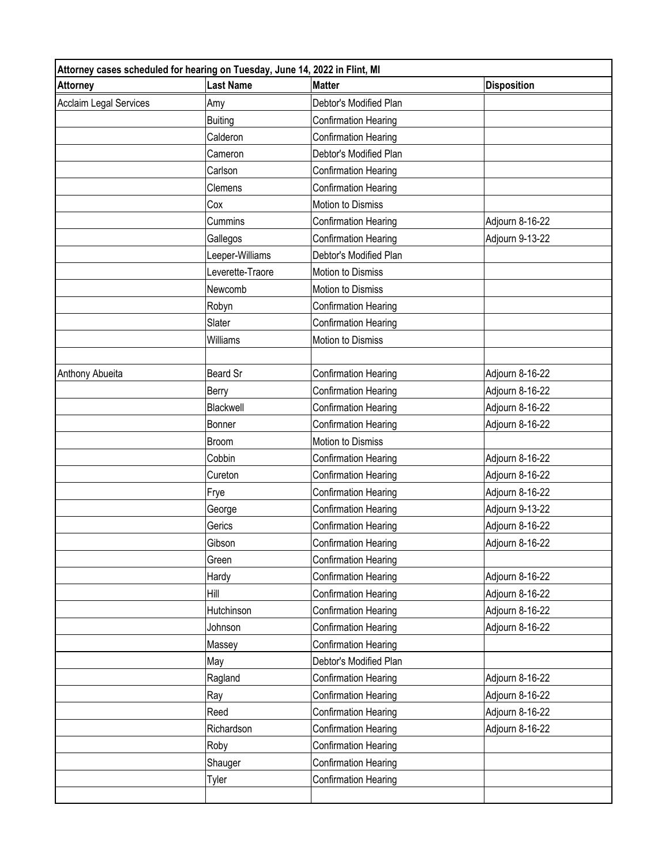| <b>Last Name</b><br><b>Disposition</b><br><b>Attorney</b><br><b>Matter</b><br><b>Acclaim Legal Services</b><br>Debtor's Modified Plan<br>Amy<br><b>Confirmation Hearing</b><br><b>Buiting</b><br>Calderon<br>Confirmation Hearing<br>Debtor's Modified Plan<br>Cameron<br>Carlson<br>Confirmation Hearing<br>Confirmation Hearing<br>Clemens<br>Cox<br>Motion to Dismiss<br>Cummins<br>Confirmation Hearing<br>Adjourn 8-16-22<br>Adjourn 9-13-22<br>Gallegos<br>Confirmation Hearing<br>Leeper-Williams<br>Debtor's Modified Plan<br>Leverette-Traore<br>Motion to Dismiss<br>Newcomb<br>Motion to Dismiss<br>Robyn<br>Confirmation Hearing | Attorney cases scheduled for hearing on Tuesday, June 14, 2022 in Flint, MI |  |  |  |
|----------------------------------------------------------------------------------------------------------------------------------------------------------------------------------------------------------------------------------------------------------------------------------------------------------------------------------------------------------------------------------------------------------------------------------------------------------------------------------------------------------------------------------------------------------------------------------------------------------------------------------------------|-----------------------------------------------------------------------------|--|--|--|
|                                                                                                                                                                                                                                                                                                                                                                                                                                                                                                                                                                                                                                              |                                                                             |  |  |  |
|                                                                                                                                                                                                                                                                                                                                                                                                                                                                                                                                                                                                                                              |                                                                             |  |  |  |
|                                                                                                                                                                                                                                                                                                                                                                                                                                                                                                                                                                                                                                              |                                                                             |  |  |  |
|                                                                                                                                                                                                                                                                                                                                                                                                                                                                                                                                                                                                                                              |                                                                             |  |  |  |
|                                                                                                                                                                                                                                                                                                                                                                                                                                                                                                                                                                                                                                              |                                                                             |  |  |  |
|                                                                                                                                                                                                                                                                                                                                                                                                                                                                                                                                                                                                                                              |                                                                             |  |  |  |
|                                                                                                                                                                                                                                                                                                                                                                                                                                                                                                                                                                                                                                              |                                                                             |  |  |  |
|                                                                                                                                                                                                                                                                                                                                                                                                                                                                                                                                                                                                                                              |                                                                             |  |  |  |
|                                                                                                                                                                                                                                                                                                                                                                                                                                                                                                                                                                                                                                              |                                                                             |  |  |  |
|                                                                                                                                                                                                                                                                                                                                                                                                                                                                                                                                                                                                                                              |                                                                             |  |  |  |
|                                                                                                                                                                                                                                                                                                                                                                                                                                                                                                                                                                                                                                              |                                                                             |  |  |  |
|                                                                                                                                                                                                                                                                                                                                                                                                                                                                                                                                                                                                                                              |                                                                             |  |  |  |
|                                                                                                                                                                                                                                                                                                                                                                                                                                                                                                                                                                                                                                              |                                                                             |  |  |  |
|                                                                                                                                                                                                                                                                                                                                                                                                                                                                                                                                                                                                                                              |                                                                             |  |  |  |
| Slater<br><b>Confirmation Hearing</b>                                                                                                                                                                                                                                                                                                                                                                                                                                                                                                                                                                                                        |                                                                             |  |  |  |
| Williams<br>Motion to Dismiss                                                                                                                                                                                                                                                                                                                                                                                                                                                                                                                                                                                                                |                                                                             |  |  |  |
|                                                                                                                                                                                                                                                                                                                                                                                                                                                                                                                                                                                                                                              |                                                                             |  |  |  |
| Beard Sr<br>Adjourn 8-16-22<br>Anthony Abueita<br>Confirmation Hearing                                                                                                                                                                                                                                                                                                                                                                                                                                                                                                                                                                       |                                                                             |  |  |  |
| <b>Confirmation Hearing</b><br>Adjourn 8-16-22<br>Berry                                                                                                                                                                                                                                                                                                                                                                                                                                                                                                                                                                                      |                                                                             |  |  |  |
| Blackwell<br>Adjourn 8-16-22<br>Confirmation Hearing                                                                                                                                                                                                                                                                                                                                                                                                                                                                                                                                                                                         |                                                                             |  |  |  |
| Confirmation Hearing<br>Adjourn 8-16-22<br>Bonner                                                                                                                                                                                                                                                                                                                                                                                                                                                                                                                                                                                            |                                                                             |  |  |  |
| Motion to Dismiss<br>Broom                                                                                                                                                                                                                                                                                                                                                                                                                                                                                                                                                                                                                   |                                                                             |  |  |  |
| Cobbin<br>Confirmation Hearing<br>Adjourn 8-16-22                                                                                                                                                                                                                                                                                                                                                                                                                                                                                                                                                                                            |                                                                             |  |  |  |
| Confirmation Hearing<br>Adjourn 8-16-22<br>Cureton                                                                                                                                                                                                                                                                                                                                                                                                                                                                                                                                                                                           |                                                                             |  |  |  |
| Frye<br>Confirmation Hearing<br>Adjourn 8-16-22                                                                                                                                                                                                                                                                                                                                                                                                                                                                                                                                                                                              |                                                                             |  |  |  |
| Adjourn 9-13-22<br>Confirmation Hearing<br>George                                                                                                                                                                                                                                                                                                                                                                                                                                                                                                                                                                                            |                                                                             |  |  |  |
| Adjourn 8-16-22<br>Gerics<br><b>Confirmation Hearing</b>                                                                                                                                                                                                                                                                                                                                                                                                                                                                                                                                                                                     |                                                                             |  |  |  |
| Gibson<br>Confirmation Hearing<br>Adjourn 8-16-22                                                                                                                                                                                                                                                                                                                                                                                                                                                                                                                                                                                            |                                                                             |  |  |  |
| Green<br>Confirmation Hearing                                                                                                                                                                                                                                                                                                                                                                                                                                                                                                                                                                                                                |                                                                             |  |  |  |
| Hardy<br>Confirmation Hearing<br>Adjourn 8-16-22                                                                                                                                                                                                                                                                                                                                                                                                                                                                                                                                                                                             |                                                                             |  |  |  |
| Hill<br>Confirmation Hearing<br>Adjourn 8-16-22                                                                                                                                                                                                                                                                                                                                                                                                                                                                                                                                                                                              |                                                                             |  |  |  |
| Hutchinson<br>Adjourn 8-16-22<br>Confirmation Hearing                                                                                                                                                                                                                                                                                                                                                                                                                                                                                                                                                                                        |                                                                             |  |  |  |
| <b>Confirmation Hearing</b><br>Adjourn 8-16-22<br>Johnson                                                                                                                                                                                                                                                                                                                                                                                                                                                                                                                                                                                    |                                                                             |  |  |  |
| Confirmation Hearing<br>Massey                                                                                                                                                                                                                                                                                                                                                                                                                                                                                                                                                                                                               |                                                                             |  |  |  |
| Debtor's Modified Plan<br>May                                                                                                                                                                                                                                                                                                                                                                                                                                                                                                                                                                                                                |                                                                             |  |  |  |
| Ragland<br>Confirmation Hearing<br>Adjourn 8-16-22                                                                                                                                                                                                                                                                                                                                                                                                                                                                                                                                                                                           |                                                                             |  |  |  |
| Ray<br>Adjourn 8-16-22<br>Confirmation Hearing                                                                                                                                                                                                                                                                                                                                                                                                                                                                                                                                                                                               |                                                                             |  |  |  |
| Adjourn 8-16-22<br>Reed<br>Confirmation Hearing                                                                                                                                                                                                                                                                                                                                                                                                                                                                                                                                                                                              |                                                                             |  |  |  |
| Richardson<br>Adjourn 8-16-22<br>Confirmation Hearing                                                                                                                                                                                                                                                                                                                                                                                                                                                                                                                                                                                        |                                                                             |  |  |  |
| <b>Confirmation Hearing</b><br>Roby                                                                                                                                                                                                                                                                                                                                                                                                                                                                                                                                                                                                          |                                                                             |  |  |  |
| Shauger<br>Confirmation Hearing                                                                                                                                                                                                                                                                                                                                                                                                                                                                                                                                                                                                              |                                                                             |  |  |  |
| Confirmation Hearing<br>Tyler                                                                                                                                                                                                                                                                                                                                                                                                                                                                                                                                                                                                                |                                                                             |  |  |  |
|                                                                                                                                                                                                                                                                                                                                                                                                                                                                                                                                                                                                                                              |                                                                             |  |  |  |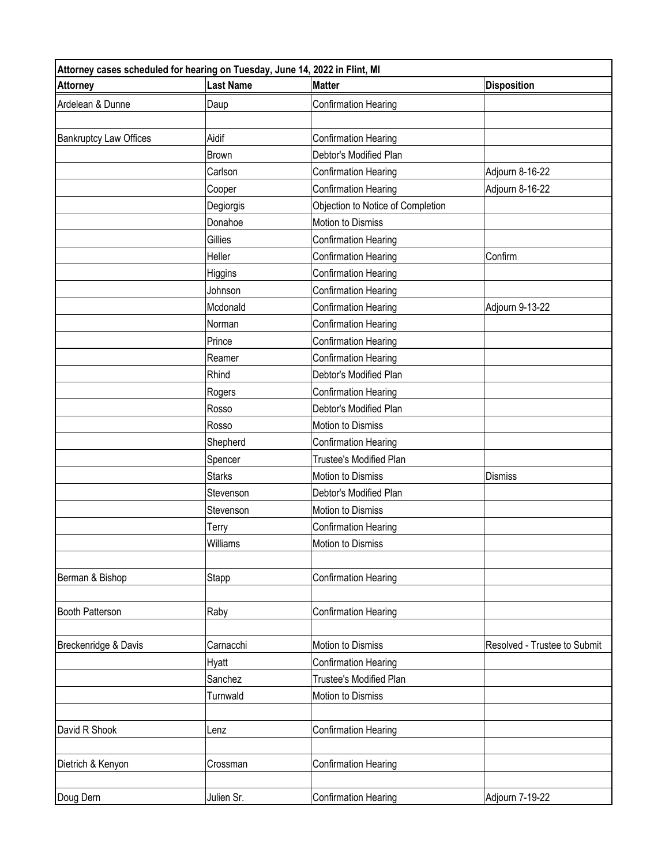| Attorney cases scheduled for hearing on Tuesday, June 14, 2022 in Flint, MI |                  |                                   |                              |
|-----------------------------------------------------------------------------|------------------|-----------------------------------|------------------------------|
| <b>Attorney</b>                                                             | <b>Last Name</b> | <b>Matter</b>                     | <b>Disposition</b>           |
| Ardelean & Dunne                                                            | Daup             | <b>Confirmation Hearing</b>       |                              |
|                                                                             |                  |                                   |                              |
| <b>Bankruptcy Law Offices</b>                                               | Aidif            | <b>Confirmation Hearing</b>       |                              |
|                                                                             | <b>Brown</b>     | Debtor's Modified Plan            |                              |
|                                                                             | Carlson          | <b>Confirmation Hearing</b>       | Adjourn 8-16-22              |
|                                                                             | Cooper           | <b>Confirmation Hearing</b>       | Adjourn 8-16-22              |
|                                                                             | Degiorgis        | Objection to Notice of Completion |                              |
|                                                                             | Donahoe          | Motion to Dismiss                 |                              |
|                                                                             | Gillies          | Confirmation Hearing              |                              |
|                                                                             | Heller           | Confirmation Hearing              | Confirm                      |
|                                                                             | Higgins          | <b>Confirmation Hearing</b>       |                              |
|                                                                             | Johnson          | Confirmation Hearing              |                              |
|                                                                             | Mcdonald         | <b>Confirmation Hearing</b>       | Adjourn 9-13-22              |
|                                                                             | Norman           | Confirmation Hearing              |                              |
|                                                                             | Prince           | <b>Confirmation Hearing</b>       |                              |
|                                                                             | Reamer           | <b>Confirmation Hearing</b>       |                              |
|                                                                             | Rhind            | Debtor's Modified Plan            |                              |
|                                                                             | Rogers           | <b>Confirmation Hearing</b>       |                              |
|                                                                             | Rosso            | Debtor's Modified Plan            |                              |
|                                                                             | Rosso            | Motion to Dismiss                 |                              |
|                                                                             | Shepherd         | Confirmation Hearing              |                              |
|                                                                             | Spencer          | <b>Trustee's Modified Plan</b>    |                              |
|                                                                             | <b>Starks</b>    | Motion to Dismiss                 | <b>Dismiss</b>               |
|                                                                             | Stevenson        | Debtor's Modified Plan            |                              |
|                                                                             | Stevenson        | Motion to Dismiss                 |                              |
|                                                                             | Terry            | Confirmation Hearing              |                              |
|                                                                             | Williams         | Motion to Dismiss                 |                              |
|                                                                             |                  |                                   |                              |
| Berman & Bishop                                                             | Stapp            | <b>Confirmation Hearing</b>       |                              |
|                                                                             |                  |                                   |                              |
| <b>Booth Patterson</b>                                                      | Raby             | <b>Confirmation Hearing</b>       |                              |
|                                                                             |                  |                                   |                              |
| Breckenridge & Davis                                                        | Carnacchi        | <b>Motion to Dismiss</b>          | Resolved - Trustee to Submit |
|                                                                             | Hyatt            | Confirmation Hearing              |                              |
|                                                                             | Sanchez          | Trustee's Modified Plan           |                              |
|                                                                             | Turnwald         | Motion to Dismiss                 |                              |
|                                                                             |                  |                                   |                              |
| David R Shook                                                               | Lenz             | <b>Confirmation Hearing</b>       |                              |
|                                                                             |                  |                                   |                              |
| Dietrich & Kenyon                                                           | Crossman         | Confirmation Hearing              |                              |
|                                                                             |                  |                                   |                              |
| Doug Dern                                                                   | Julien Sr.       | <b>Confirmation Hearing</b>       | Adjourn 7-19-22              |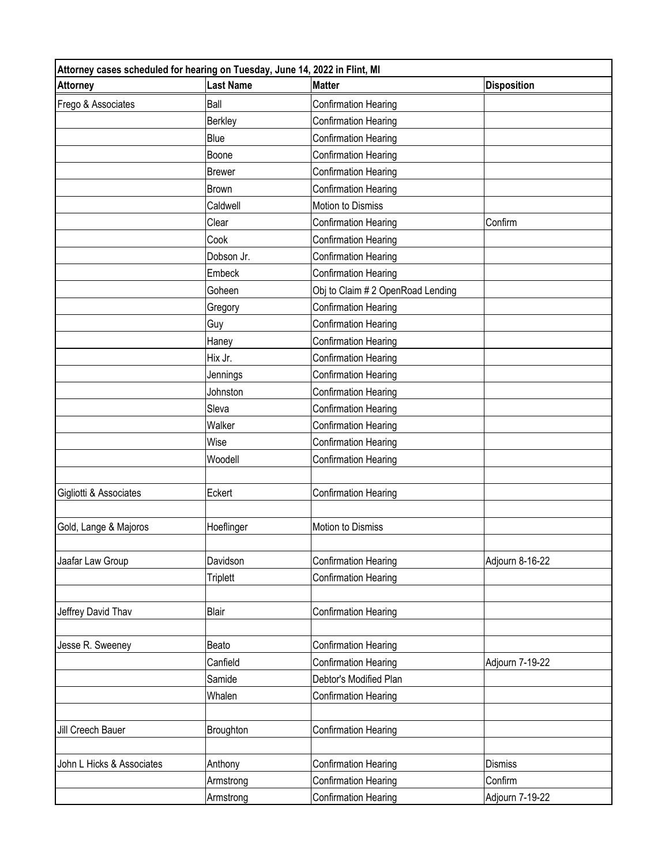| Attorney cases scheduled for hearing on Tuesday, June 14, 2022 in Flint, MI |                  |                                  |                    |
|-----------------------------------------------------------------------------|------------------|----------------------------------|--------------------|
| <b>Attorney</b>                                                             | <b>Last Name</b> | <b>Matter</b>                    | <b>Disposition</b> |
| Frego & Associates                                                          | Ball             | <b>Confirmation Hearing</b>      |                    |
|                                                                             | <b>Berkley</b>   | Confirmation Hearing             |                    |
|                                                                             | Blue             | <b>Confirmation Hearing</b>      |                    |
|                                                                             | Boone            | <b>Confirmation Hearing</b>      |                    |
|                                                                             | <b>Brewer</b>    | <b>Confirmation Hearing</b>      |                    |
|                                                                             | <b>Brown</b>     | <b>Confirmation Hearing</b>      |                    |
|                                                                             | Caldwell         | Motion to Dismiss                |                    |
|                                                                             | Clear            | <b>Confirmation Hearing</b>      | Confirm            |
|                                                                             | Cook             | <b>Confirmation Hearing</b>      |                    |
|                                                                             | Dobson Jr.       | Confirmation Hearing             |                    |
|                                                                             | Embeck           | <b>Confirmation Hearing</b>      |                    |
|                                                                             | Goheen           | Obj to Claim #2 OpenRoad Lending |                    |
|                                                                             | Gregory          | <b>Confirmation Hearing</b>      |                    |
|                                                                             | Guy              | Confirmation Hearing             |                    |
|                                                                             | Haney            | <b>Confirmation Hearing</b>      |                    |
|                                                                             | Hix Jr.          | <b>Confirmation Hearing</b>      |                    |
|                                                                             | Jennings         | Confirmation Hearing             |                    |
|                                                                             | Johnston         | <b>Confirmation Hearing</b>      |                    |
|                                                                             | Sleva            | <b>Confirmation Hearing</b>      |                    |
|                                                                             | Walker           | <b>Confirmation Hearing</b>      |                    |
|                                                                             | Wise             | <b>Confirmation Hearing</b>      |                    |
|                                                                             | Woodell          | Confirmation Hearing             |                    |
| Gigliotti & Associates                                                      | Eckert           | <b>Confirmation Hearing</b>      |                    |
|                                                                             |                  |                                  |                    |
| Gold, Lange & Majoros                                                       | Hoeflinger       | Motion to Dismiss                |                    |
|                                                                             |                  |                                  |                    |
| Jaafar Law Group                                                            | Davidson         | Confirmation Hearing             | Adjourn 8-16-22    |
|                                                                             | <b>Triplett</b>  | Confirmation Hearing             |                    |
| Jeffrey David Thav                                                          | Blair            | Confirmation Hearing             |                    |
|                                                                             |                  |                                  |                    |
| Jesse R. Sweeney                                                            | Beato            | <b>Confirmation Hearing</b>      |                    |
|                                                                             | Canfield         | <b>Confirmation Hearing</b>      | Adjourn 7-19-22    |
|                                                                             | Samide           | Debtor's Modified Plan           |                    |
|                                                                             | Whalen           | <b>Confirmation Hearing</b>      |                    |
|                                                                             |                  |                                  |                    |
| Jill Creech Bauer                                                           | Broughton        | <b>Confirmation Hearing</b>      |                    |
|                                                                             |                  |                                  |                    |
| John L Hicks & Associates                                                   | Anthony          | <b>Confirmation Hearing</b>      | <b>Dismiss</b>     |
|                                                                             | Armstrong        | <b>Confirmation Hearing</b>      | Confirm            |
|                                                                             | Armstrong        | <b>Confirmation Hearing</b>      | Adjourn 7-19-22    |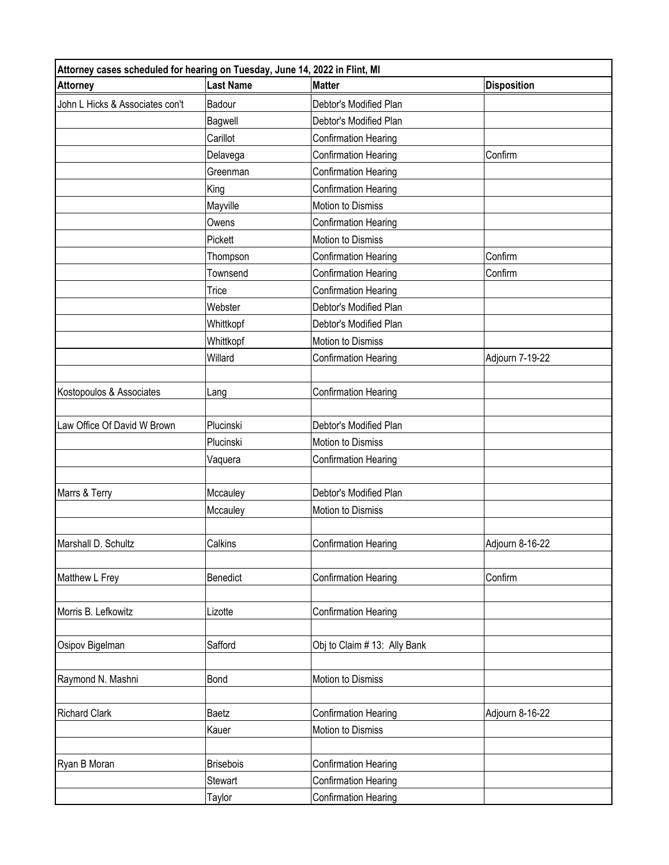| Attorney cases scheduled for hearing on Tuesday, June 14, 2022 in Flint, MI |                  |                              |                    |
|-----------------------------------------------------------------------------|------------------|------------------------------|--------------------|
| <b>Attorney</b>                                                             | <b>Last Name</b> | <b>Matter</b>                | <b>Disposition</b> |
| John L Hicks & Associates con't                                             | Badour           | Debtor's Modified Plan       |                    |
|                                                                             | Bagwell          | Debtor's Modified Plan       |                    |
|                                                                             | Carillot         | <b>Confirmation Hearing</b>  |                    |
|                                                                             | Delavega         | <b>Confirmation Hearing</b>  | Confirm            |
|                                                                             | Greenman         | <b>Confirmation Hearing</b>  |                    |
|                                                                             | King             | <b>Confirmation Hearing</b>  |                    |
|                                                                             | Mayville         | Motion to Dismiss            |                    |
|                                                                             | Owens            | Confirmation Hearing         |                    |
|                                                                             | Pickett          | Motion to Dismiss            |                    |
|                                                                             | Thompson         | Confirmation Hearing         | Confirm            |
|                                                                             | Townsend         | <b>Confirmation Hearing</b>  | Confirm            |
|                                                                             | Trice            | <b>Confirmation Hearing</b>  |                    |
|                                                                             | Webster          | Debtor's Modified Plan       |                    |
|                                                                             | Whittkopf        | Debtor's Modified Plan       |                    |
|                                                                             | Whittkopf        | Motion to Dismiss            |                    |
|                                                                             | Willard          | <b>Confirmation Hearing</b>  | Adjourn 7-19-22    |
|                                                                             |                  |                              |                    |
| Kostopoulos & Associates                                                    | Lang             | <b>Confirmation Hearing</b>  |                    |
| Law Office Of David W Brown                                                 | Plucinski        | Debtor's Modified Plan       |                    |
|                                                                             | Plucinski        | Motion to Dismiss            |                    |
|                                                                             | Vaquera          | Confirmation Hearing         |                    |
| Marrs & Terry                                                               | Mccauley         | Debtor's Modified Plan       |                    |
|                                                                             | Mccauley         | Motion to Dismiss            |                    |
|                                                                             |                  |                              |                    |
| Marshall D. Schultz                                                         | Calkins          | <b>Confirmation Hearing</b>  | Adjourn 8-16-22    |
|                                                                             |                  |                              |                    |
| Matthew L Frey                                                              | Benedict         | Confirmation Hearing         | Confirm            |
|                                                                             |                  |                              |                    |
| Morris B. Lefkowitz                                                         | Lizotte          | <b>Confirmation Hearing</b>  |                    |
|                                                                             |                  |                              |                    |
| Osipov Bigelman                                                             | Safford          | Obj to Claim # 13: Ally Bank |                    |
|                                                                             |                  |                              |                    |
| Raymond N. Mashni                                                           | Bond             | Motion to Dismiss            |                    |
|                                                                             |                  |                              |                    |
| <b>Richard Clark</b>                                                        | Baetz            | <b>Confirmation Hearing</b>  | Adjourn 8-16-22    |
|                                                                             | Kauer            | Motion to Dismiss            |                    |
| Ryan B Moran                                                                | <b>Brisebois</b> | <b>Confirmation Hearing</b>  |                    |
|                                                                             | Stewart          | <b>Confirmation Hearing</b>  |                    |
|                                                                             | Taylor           | <b>Confirmation Hearing</b>  |                    |
|                                                                             |                  |                              |                    |